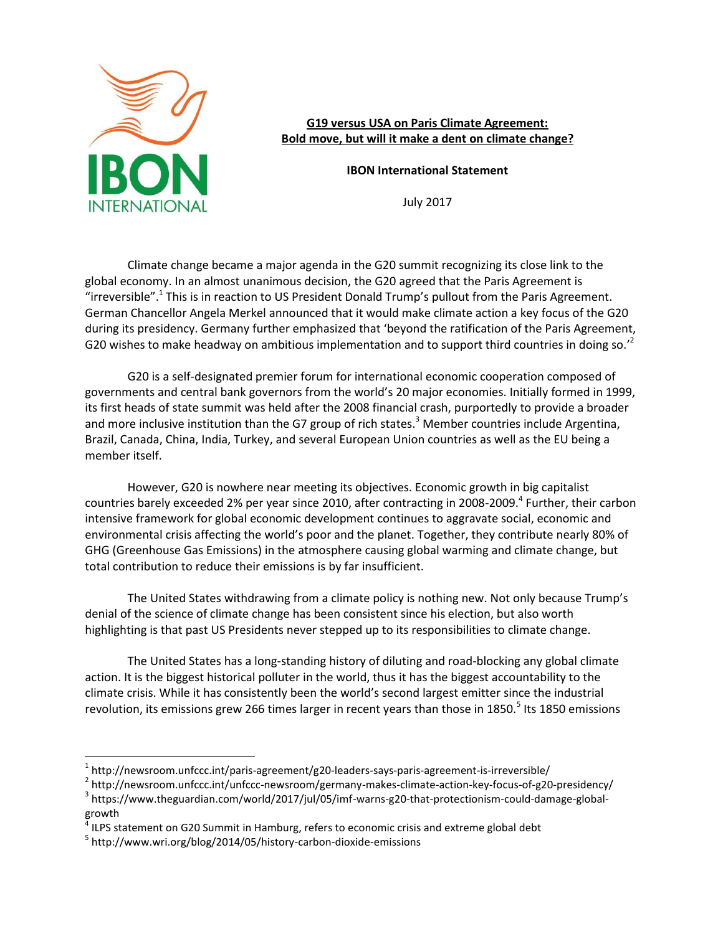

**G19 versus USA on Paris Climate Agreement: Bold move, but will it make a dent on climate change?** 

**IBON International Statement** 

July 2017

Climate change became a major agenda in the G20 summit recognizing its close link to the global economy. In an almost unanimous decision, the G20 agreed that the Paris Agreement is "irreversible".<sup>1</sup> This is in reaction to US President Donald Trump's pullout from the Paris Agreement. German Chancellor Angela Merkel announced that it would make climate action a key focus of the G20 during its presidency. Germany further emphasized that 'beyond the ratification of the Paris Agreement, G20 wishes to make headway on ambitious implementation and to support third countries in doing so.<sup> $2$ </sup>

G20 is a self-designated premier forum for international economic cooperation composed of governments and central bank governors from the world's 20 major economies. Initially formed in 1999, its first heads of state summit was held after the 2008 financial crash, purportedly to provide a broader and more inclusive institution than the G7 group of rich states.<sup>3</sup> Member countries include Argentina, Brazil, Canada, China, India, Turkey, and several European Union countries as well as the EU being a member itself.

However, G20 is nowhere near meeting its objectives. Economic growth in big capitalist countries barely exceeded 2% per year since 2010, after contracting in 2008-2009.<sup>4</sup> Further, their carbon intensive framework for global economic development continues to aggravate social, economic and environmental crisis affecting the world's poor and the planet. Together, they contribute nearly 80% of GHG (Greenhouse Gas Emissions) in the atmosphere causing global warming and climate change, but total contribution to reduce their emissions is by far insufficient.

The United States withdrawing from a climate policy is nothing new. Not only because Trump's denial of the science of climate change has been consistent since his election, but also worth highlighting is that past US Presidents never stepped up to its responsibilities to climate change.

The United States has a long-standing history of diluting and road-blocking any global climate action. It is the biggest historical polluter in the world, thus it has the biggest accountability to the climate crisis. While it has consistently been the world's second largest emitter since the industrial revolution, its emissions grew 266 times larger in recent years than those in 1850.<sup>5</sup> Its 1850 emissions

 $\overline{a}$ 

 $^1$  http://newsroom.unfccc.int/paris-agreement/g20-leaders-says-paris-agreement-is-irreversible/

<sup>&</sup>lt;sup>2</sup> http://newsroom.unfccc.int/unfccc-newsroom/germany-makes-climate-action-key-focus-of-g20-presidency/

<sup>&</sup>lt;sup>3</sup> https://www.theguardian.com/world/2017/jul/05/imf-warns-g20-that-protectionism-could-damage-globalgrowth

 $<sup>4</sup>$  ILPS statement on G20 Summit in Hamburg, refers to economic crisis and extreme global debt</sup>

<sup>&</sup>lt;sup>5</sup> http://www.wri.org/blog/2014/05/history-carbon-dioxide-emissions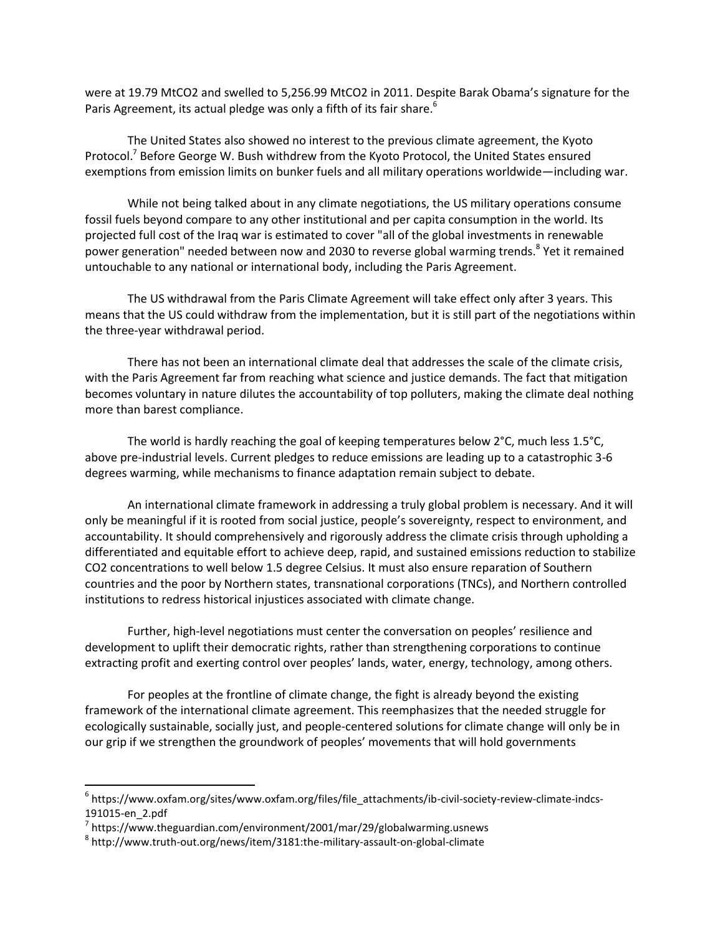were at 19.79 MtCO2 and swelled to 5,256.99 MtCO2 in 2011. Despite Barak Obama's signature for the Paris Agreement, its actual pledge was only a fifth of its fair share.<sup>6</sup>

The United States also showed no interest to the previous climate agreement, the Kyoto Protocol.<sup>7</sup> Before George W. Bush withdrew from the Kyoto Protocol, the United States ensured exemptions from emission limits on bunker fuels and all military operations worldwide—including war.

While not being talked about in any climate negotiations, the US military operations consume fossil fuels beyond compare to any other institutional and per capita consumption in the world. Its projected full cost of the Iraq war is estimated to cover "all of the global investments in renewable power generation" needed between now and 2030 to reverse global warming trends.<sup>8</sup> Yet it remained untouchable to any national or international body, including the Paris Agreement.

The US withdrawal from the Paris Climate Agreement will take effect only after 3 years. This means that the US could withdraw from the implementation, but it is still part of the negotiations within the three-year withdrawal period.

There has not been an international climate deal that addresses the scale of the climate crisis, with the Paris Agreement far from reaching what science and justice demands. The fact that mitigation becomes voluntary in nature dilutes the accountability of top polluters, making the climate deal nothing more than barest compliance.

The world is hardly reaching the goal of keeping temperatures below 2°C, much less 1.5°C, above pre-industrial levels. Current pledges to reduce emissions are leading up to a catastrophic 3-6 degrees warming, while mechanisms to finance adaptation remain subject to debate.

An international climate framework in addressing a truly global problem is necessary. And it will only be meaningful if it is rooted from social justice, people's sovereignty, respect to environment, and accountability. It should comprehensively and rigorously address the climate crisis through upholding a differentiated and equitable effort to achieve deep, rapid, and sustained emissions reduction to stabilize CO2 concentrations to well below 1.5 degree Celsius. It must also ensure reparation of Southern countries and the poor by Northern states, transnational corporations (TNCs), and Northern controlled institutions to redress historical injustices associated with climate change.

Further, high-level negotiations must center the conversation on peoples' resilience and development to uplift their democratic rights, rather than strengthening corporations to continue extracting profit and exerting control over peoples' lands, water, energy, technology, among others.

For peoples at the frontline of climate change, the fight is already beyond the existing framework of the international climate agreement. This reemphasizes that the needed struggle for ecologically sustainable, socially just, and people-centered solutions for climate change will only be in our grip if we strengthen the groundwork of peoples' movements that will hold governments

 $\overline{a}$ 

<sup>&</sup>lt;sup>6</sup> https://www.oxfam.org/sites/www.oxfam.org/files/file\_attachments/ib-civil-society-review-climate-indcs-191015-en\_2.pdf

 $^7$  https://www.theguardian.com/environment/2001/mar/29/globalwarming.usnews

<sup>8</sup> http://www.truth-out.org/news/item/3181:the-military-assault-on-global-climate